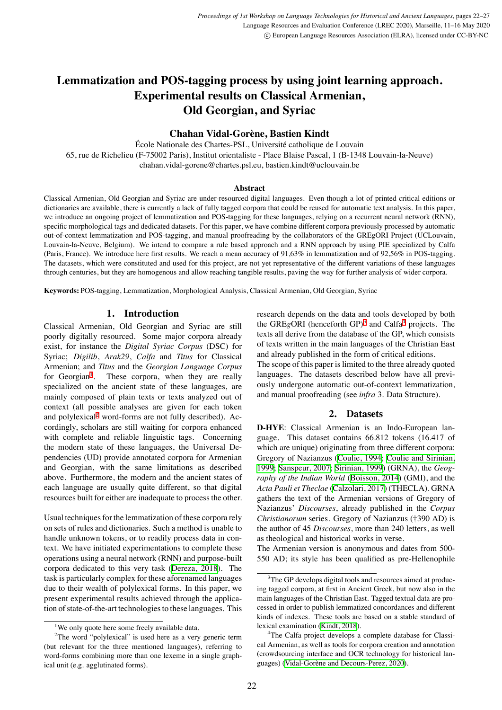# **Lemmatization and POS-tagging process by using joint learning approach. Experimental results on Classical Armenian, Old Georgian, and Syriac**

## **Chahan Vidal-Gorène, Bastien Kindt**

École Nationale des Chartes-PSL, Université catholique de Louvain 65, rue de Richelieu (F-75002 Paris), Institut orientaliste - Place Blaise Pascal, 1 (B-1348 Louvain-la-Neuve) chahan.vidal-gorene@chartes.psl.eu, bastien.kindt@uclouvain.be

### **Abstract**

Classical Armenian, Old Georgian and Syriac are under-resourced digital languages. Even though a lot of printed critical editions or dictionaries are available, there is currently a lack of fully tagged corpora that could be reused for automatic text analysis. In this paper, we introduce an ongoing project of lemmatization and POS-tagging for these languages, relying on a recurrent neural network (RNN), specific morphological tags and dedicated datasets. For this paper, we have combine different corpora previously processed by automatic out-of-context lemmatization and POS-tagging, and manual proofreading by the collaborators of the GREgORI Project (UCLouvain, Louvain-la-Neuve, Belgium). We intend to compare a rule based approach and a RNN approach by using PIE specialized by Calfa (Paris, France). We introduce here first results. We reach a mean accuracy of 91,63% in lemmatization and of 92,56% in POS-tagging. The datasets, which were constituted and used for this project, are not yet representative of the different variations of these languages through centuries, but they are homogenous and allow reaching tangible results, paving the way for further analysis of wider corpora.

**Keywords:** POS-tagging, Lemmatization, Morphological Analysis, Classical Armenian, Old Georgian, Syriac

## **1. Introduction**

Classical Armenian, Old Georgian and Syriac are still poorly digitally resourced. Some major corpora already exist, for instance the *Digital Syriac Corpus* (DSC) for Syriac; *Digilib*, *Arak29*, *Calfa* and *Titus* for Classical Armenian; and *Titus* and the *Georgian Language Corpus* for  $Georgan<sup>1</sup>$  $Georgan<sup>1</sup>$  $Georgan<sup>1</sup>$ . . These corpora, when they are really specialized on the ancient state of these languages, are mainly composed of plain texts or texts analyzed out of context (all possible analyses are given for each token and polylexical<sup>[2](#page-0-1)</sup> word-forms are not fully described). Accordingly, scholars are still waiting for corpora enhanced with complete and reliable linguistic tags. Concerning the modern state of these languages, the Universal Dependencies (UD) provide annotated corpora for Armenian and Georgian, with the same limitations as described above. Furthermore, the modern and the ancient states of each language are usually quite different, so that digital resources built for either are inadequate to process the other.

Usual techniques for the lemmatization of these corpora rely on sets of rules and dictionaries. Such a method is unable to handle unknown tokens, or to readily process data in context. We have initiated experimentations to complete these operations using a neural network (RNN) and purpose-built corpora dedicated to this very task [\(Dereza, 2018](#page-4-0)). The task is particularly complex for these aforenamed languages due to their wealth of polylexical forms. In this paper, we present experimental results achieved through the application of state-of-the-art technologies to these languages. This research depends on the data and tools developed by both the GREgORI (henceforth GP)<sup>[3](#page-0-2)</sup> and Calfa<sup>[4](#page-0-3)</sup> projects. The texts all derive from the database of the GP, which consists of texts written in the main languages of the Christian East and already published in the form of critical editions. The scope of this paper is limited to the three already quoted languages. The datasets described below have all previ-

ously undergone automatic out-of-context lemmatization, and manual proofreading (see *infra* 3. Data Structure).

## **2. Datasets**

**D-HYE**: Classical Armenian is an Indo-European language. This dataset contains 66.812 tokens (16.417 of which are unique) originating from three different corpora: Gregory of Nazianzus [\(Coulie, 1994](#page-4-1); [Coulie and Sirinian,](#page-4-2) [1999;](#page-4-2) [Sanspeur, 2007;](#page-5-0) [Sirinian, 1999\)](#page-5-1) (GRNA), the *Geography of the Indian World* ([Boisson, 2014\)](#page-4-3) (GMI), and the *Acta Pauli et Theclae* ([Calzolari, 2017\)](#page-4-4) (THECLA). GRNA gathers the text of the Armenian versions of Gregory of Nazianzus' *Discourses*, already published in the *Corpus Christianorum* series. Gregory of Nazianzus (†390 AD) is the author of 45 *Discourses*, more than 240 letters, as well as theological and historical works in verse.

The Armenian version is anonymous and dates from 500- 550 AD; its style has been qualified as pre-Hellenophile

<span id="page-0-1"></span><span id="page-0-0"></span><sup>&</sup>lt;sup>1</sup>We only quote here some freely available data.

 $2$ The word "polylexical" is used here as a very generic term (but relevant for the three mentioned languages), referring to word-forms combining more than one lexeme in a single graphical unit (e.g. agglutinated forms).

<span id="page-0-2"></span><sup>&</sup>lt;sup>3</sup>The GP develops digital tools and resources aimed at producing tagged corpora, at first in Ancient Greek, but now also in the main languages of the Christian East. Tagged textual data are processed in order to publish lemmatized concordances and different kinds of indexes. These tools are based on a stable standard of lexical examination([Kindt, 2018](#page-5-2)).

<span id="page-0-3"></span><sup>&</sup>lt;sup>4</sup>The Calfa project develops a complete database for Classical Armenian, as well as tools for corpora creation and annotation (crowdsourcing interface and OCR technology for historical languages)([Vidal-Gorène and Decours-Perez, 2020](#page-5-3)).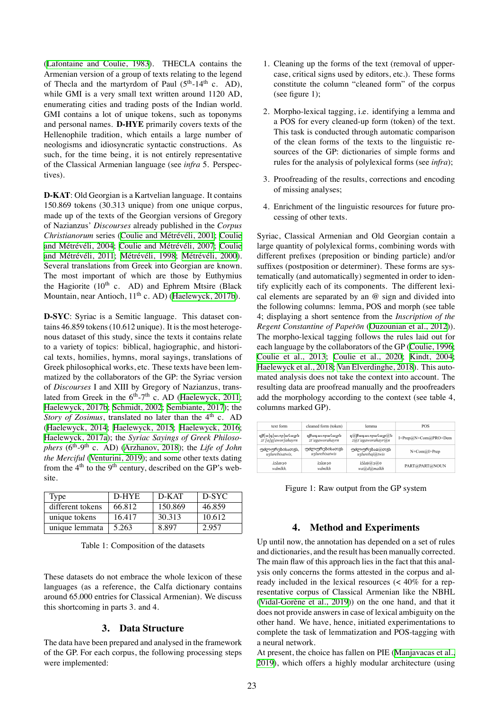[\(Lafontaine and Coulie, 1983\)](#page-5-4). THECLA contains the Armenian version of a group of texts relating to the legend of Thecla and the martyrdom of Paul  $(5<sup>th</sup>-14<sup>th</sup>$  c. AD), while GMI is a very small text written around 1120 AD, enumerating cities and trading posts of the Indian world. GMI contains a lot of unique tokens, such as toponyms and personal names. **D-HYE** primarily covers texts of the Hellenophile tradition, which entails a large number of neologisms and idiosyncratic syntactic constructions. As such, for the time being, it is not entirely representative of the Classical Armenian language (see *infra* 5. Perspectives).

**D-KAT**: Old Georgian is a Kartvelian language. It contains 150.869 tokens (30.313 unique) from one unique corpus, made up of the texts of the Georgian versions of Gregory of Nazianzus' *Discourses* already published in the *Corpus Christianorum* series([Coulie and Métrévéli, 2001](#page-4-5); [Coulie](#page-4-6) [and Métrévéli, 2004;](#page-4-6) [Coulie and Métrévéli, 2007;](#page-4-7) [Coulie](#page-4-8) [and Métrévéli, 2011;](#page-4-8) [Métrévéli, 1998](#page-5-5); [Métrévéli, 2000](#page-5-6)). Several translations from Greek into Georgian are known. The most important of which are those by Euthymius the Hagiorite  $(10^{th}$  c. AD) and Ephrem Mtsire (Black Mountain, near Antioch,  $11<sup>th</sup>$  c. AD) [\(Haelewyck, 2017b](#page-5-7)).

**D-SYC**: Syriac is a Semitic language. This dataset contains 46.859 tokens (10.612 unique). It is the most heterogenous dataset of this study, since the texts it contains relate to a variety of topics: biblical, hagiographic, and historical texts, homilies, hymns, moral sayings, translations of Greek philosophical works, etc. These texts have been lemmatized by the collaborators of the GP: the Syriac version of *Discourses* I and XIII by Gregory of Nazianzus, translatedfrom Greek in the  $6<sup>th</sup> - 7<sup>th</sup>$  c. AD ([Haelewyck, 2011](#page-4-9); [Haelewyck, 2017b](#page-5-7); [Schmidt, 2002](#page-5-8); [Sembiante, 2017\)](#page-5-9); the *Story of Zosimus*, translated no later than the 4<sup>th</sup> c. AD [\(Haelewyck, 2014;](#page-4-10) [Haelewyck, 2015;](#page-4-11) [Haelewyck, 2016](#page-4-12); [Haelewyck, 2017a](#page-5-10)); the *Syriac Sayings of Greek Philosophers* (6th-9th c. AD) [\(Arzhanov, 2018\)](#page-4-13); the *Life of John the Merciful* ([Venturini, 2019\)](#page-5-11); and some other texts dating from the  $4<sup>th</sup>$  to the 9<sup>th</sup> century, described on the GP's website.

| Type             | D-HYE  | D-KAT   | D-SYC  |
|------------------|--------|---------|--------|
| different tokens | 66.812 | 150.869 | 46.859 |
| unique tokens    | 16.417 | 30.313  | 10.612 |
| unique lemmata   | 5.263  | 8897    | 2.957  |

Table 1: Composition of the datasets

These datasets do not embrace the whole lexicon of these languages (as a reference, the Calfa dictionary contains around 65.000 entries for Classical Armenian). We discuss this shortcoming in parts 3. and 4.

### **3. Data Structure**

The data have been prepared and analysed in the framework of the GP. For each corpus, the following processing steps were implemented:

- 1. Cleaning up the forms of the text (removal of uppercase, critical signs used by editors, etc.). These forms constitute the column "cleaned form" of the corpus (see figure 1);
- 2. Morpho-lexical tagging, i.e. identifying a lemma and a POS for every cleaned-up form (token) of the text. This task is conducted through automatic comparison of the clean forms of the texts to the linguistic resources of the GP: dictionaries of simple forms and rules for the analysis of polylexical forms (see *infra*);
- 3. Proofreading of the results, corrections and encoding of missing analyses;
- 4. Enrichment of the linguistic resources for future processing of other texts.

Syriac, Classical Armenian and Old Georgian contain a large quantity of polylexical forms, combining words with different prefixes (preposition or binding particle) and/or suffixes (postposition or determiner). These forms are systematically (and automatically) segmented in order to identify explicitly each of its components. The different lexical elements are separated by an @ sign and divided into the following columns: lemma, POS and morph (see table 4; displaying a short sentence from the *Inscription of the Regent Constantine of Papeṙōn* [\(Ouzounian et al., 2012\)](#page-5-12)). The morpho-lexical tagging follows the rules laid out for each language by the collaborators of the GP([Coulie, 1996;](#page-4-14) [Coulie et al., 2013](#page-4-15); [Coulie et al., 2020](#page-4-16); [Kindt, 2004;](#page-5-13) [Haelewyck et al., 2018](#page-4-17); [Van Elverdinghe, 2018\)](#page-5-14). This automated analysis does not take the context into account. The resulting data are proofread manually and the proofreaders add the morphology according to the context (see table 4, columns marked GP).

| text form           | cleaned form (token) | lemma                    | <b>POS</b>           |
|---------------------|----------------------|--------------------------|----------------------|
| զի[ա]գ[աւոր]ահայրն  | ղթագաւորահայրն       | <i>ղ@խադաւորահայր@</i> ն | I+Prep@N+Com@PRO+Dem |
| zt'[a]g[awor]ahayrn | zt'agaworahayrn      | z@t'agaworahayr@n        |                      |
| უძლურებისათჳს,      | უძლურებისათჳს        | უძლურებაჲ@თჳს            | $N+Com(a)I+Prep$     |
| uzlurebisatwis,     | uzlurebisatwis       | uzlurebaj@twis           |                      |
| ەدەدلچ              | ەدەلك                | 0@0هلخلا                 | PART@PART@NOUN       |
| wdmlkh.             | wdmlkh               | wa@d@malkh               |                      |

Figure 1: Raw output from the GP system

### **4. Method and Experiments**

Up until now, the annotation has depended on a set of rules and dictionaries, and the result has been manually corrected. The main flaw of this approach lies in the fact that this analysis only concerns the forms attested in the corpus and already included in the lexical resources (< 40% for a representative corpus of Classical Armenian like the NBHL [\(Vidal-Gorène et al., 2019](#page-5-15))) on the one hand, and that it does not provide answers in case of lexical ambiguity on the other hand. We have, hence, initiated experimentations to complete the task of lemmatization and POS-tagging with a neural network.

At present, the choice has fallen on PIE([Manjavacas et al.,](#page-5-16) [2019\)](#page-5-16), which offers a highly modular architecture (using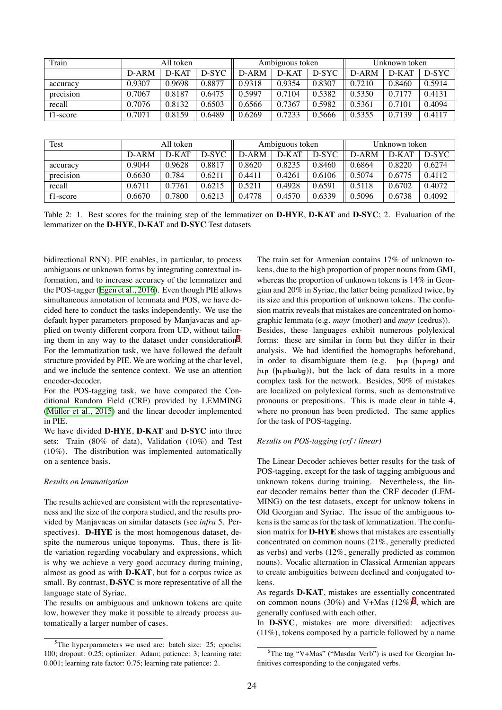| Train     | All token |        |        | Ambiguous token |        |        | Unknown token |         |        |
|-----------|-----------|--------|--------|-----------------|--------|--------|---------------|---------|--------|
|           | D-ARM     | D-KAT  | D-SYC  | D-ARM           | D-KAT  | D-SYC  | D-ARM         | $D-KAT$ | D-SYC  |
| accuracy  | 0.9307    | 0.9698 | 0.8877 | 0.9318          | 0.9354 | 0.8307 | 0.7210        | 0.8460  | 0.5914 |
| precision | 0.7067    | 0.8187 | 0.6475 | 0.5997          | 0.7104 | 0.5382 | 0.5350        | 0.7177  | 0.4131 |
| recall    | 0.7076    | 0.8132 | 0.6503 | 0.6566          | 0.7367 | 0.5982 | 0.5361        | 0.7101  | 0.4094 |
| f1-score  | 0.7071    | 0.8159 | 0.6489 | 0.6269          | 0.7233 | 0.5666 | 0.5355        | 0.7139  | 0.4117 |

| Test      | All token |        |        | Ambiguous token |        |        | Unknown token |         |        |
|-----------|-----------|--------|--------|-----------------|--------|--------|---------------|---------|--------|
|           | D-ARM     | D-KAT  | D-SYC  | D-ARM           | D-KAT  | D-SYC  | D-ARM         | $D-KAT$ | D-SYC  |
| accuracy  | 0.9044    | 0.9628 | 0.8817 | 0.8620          | 0.8235 | 0.8460 | 0.6864        | 0.8220  | 0.6274 |
| precision | 0.6630    | 0.784  | 0.6211 | 0.4411          | 0.4261 | 0.6106 | 0.5074        | 0.6775  | 0.4112 |
| recall    | 0.6711    | 0.7761 | 0.6215 | 0.5211          | 0.4928 | 0.6591 | 0.5118        | 0.6702  | 0.4072 |
| f1-score  | 0.6670    | 0.7800 | 0.6213 | 0.4778          | 0.4570 | 0.6339 | 0.5096        | 0.6738  | 0.4092 |

Table 2: 1. Best scores for the training step of the lemmatizer on **D-HYE**, **D-KAT** and **D-SYC**; 2. Evaluation of the lemmatizer on the **D-HYE**, **D-KAT** and **D-SYC** Test datasets

bidirectional RNN). PIE enables, in particular, to process ambiguous or unknown forms by integrating contextual information, and to increase accuracy of the lemmatizer and the POS-tagger([Egen et al., 2016](#page-4-18)). Even though PIE allows simultaneous annotation of lemmata and POS, we have decided here to conduct the tasks independently. We use the default hyper parameters proposed by Manjavacas and applied on twenty different corpora from UD, without tailor-ing them in any way to the dataset under consideration<sup>[5](#page-2-0)</sup>. For the lemmatization task, we have followed the default structure provided by PIE. We are working at the char level, and we include the sentence context. We use an attention encoder-decoder.

For the POS-tagging task, we have compared the Conditional Random Field (CRF) provided by LEMMING [\(Müller et al., 2015\)](#page-5-17) and the linear decoder implemented in PIE.

We have divided **D-HYE**, **D-KAT** and **D-SYC** into three sets: Train (80% of data), Validation (10%) and Test (10%). The distribution was implemented automatically on a sentence basis.

#### *Results on lemmatization*

The results achieved are consistent with the representativeness and the size of the corpora studied, and the results provided by Manjavacas on similar datasets (see *infra* 5. Perspectives). **D-HYE** is the most homogenous dataset, despite the numerous unique toponyms. Thus, there is little variation regarding vocabulary and expressions, which is why we achieve a very good accuracy during training, almost as good as with **D-KAT**, but for a corpus twice as small. By contrast, **D-SYC** is more representative of all the language state of Syriac.

The results on ambiguous and unknown tokens are quite low, however they make it possible to already process automatically a larger number of cases.

The train set for Armenian contains 17% of unknown tokens, due to the high proportion of proper nouns from GMI, whereas the proportion of unknown tokens is 14% in Georgian and 20% in Syriac, the latter being penalized twice, by its size and this proportion of unknown tokens. The confusion matrix reveals that mistakes are concentrated on homographic lemmata (e.g. *mayr* (mother) and *mayr* (cedrus)). Besides, these languages exhibit numerous polylexical forms: these are similar in form but they differ in their analysis. We had identified the homographs beforehand, in order to disambiguate them (e.g. իւր (իւրոց) and իւր (իւրեանց)), but the lack of data results in a more complex task for the network. Besides, 50% of mistakes are localized on polylexical forms, such as demonstrative pronouns or prepositions. This is made clear in table 4, where no pronoun has been predicted. The same applies for the task of POS-tagging.

#### *Results on POS-tagging (crf / linear)*

The Linear Decoder achieves better results for the task of POS-tagging, except for the task of tagging ambiguous and unknown tokens during training. Nevertheless, the linear decoder remains better than the CRF decoder (LEM-MING) on the test datasets, except for unknow tokens in Old Georgian and Syriac. The issue of the ambiguous tokens is the same as for the task of lemmatization. The confusion matrix for **D-HYE** shows that mistakes are essentially concentrated on common nouns (21%, generally predicted as verbs) and verbs (12%, generally predicted as common nouns). Vocalic alternation in Classical Armenian appears to create ambiguities between declined and conjugated tokens.

As regards **D-KAT**, mistakes are essentially concentrated on common nouns (30%) and V+Mas  $(12\%)^6$  $(12\%)^6$ , which are generally confused with each other.

In **D-SYC**, mistakes are more diversified: adjectives (11%), tokens composed by a particle followed by a name

<span id="page-2-0"></span> $5$ The hyperparameters we used are: batch size: 25; epochs: 100; dropout: 0.25; optimizer: Adam; patience: 3; learning rate: 0.001; learning rate factor: 0.75; learning rate patience: 2.

<span id="page-2-1"></span><sup>6</sup>The tag "V+Mas" ("Masdar Verb") is used for Georgian Infinitives corresponding to the conjugated verbs.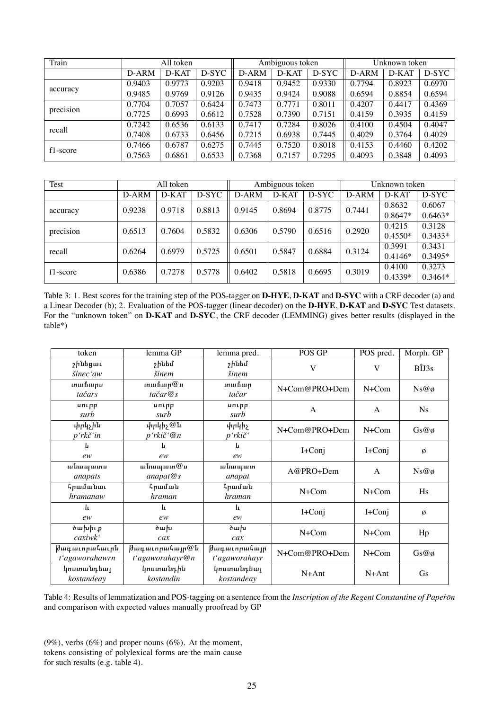| Train     | All token |        |        | Ambiguous token |        |        | Unknown token |        |        |
|-----------|-----------|--------|--------|-----------------|--------|--------|---------------|--------|--------|
|           | D-ARM     | D-KAT  | D-SYC  | D-ARM           | D-KAT  | D-SYC  | D-ARM         | D-KAT  | D-SYC  |
| accuracy  | 0.9403    | 0.9773 | 0.9203 | 0.9418          | 0.9452 | 0.9330 | 0.7794        | 0.8923 | 0.6970 |
|           | 0.9485    | 0.9769 | 0.9126 | 0.9435          | 0.9424 | 0.9088 | 0.6594        | 0.8854 | 0.6594 |
| precision | 0.7704    | 0.7057 | 0.6424 | 0.7473          | 0.7771 | 0.8011 | 0.4207        | 0.4417 | 0.4369 |
|           | 0.7725    | 0.6993 | 0.6612 | 0.7528          | 0.7390 | 0.7151 | 0.4159        | 0.3935 | 0.4159 |
| recall    | 0.7242    | 0.6536 | 0.6133 | 0.7417          | 0.7284 | 0.8026 | 0.4100        | 0.4504 | 0.4047 |
|           | 0.7408    | 0.6733 | 0.6456 | 0.7215          | 0.6938 | 0.7445 | 0.4029        | 0.3764 | 0.4029 |
| f1-score  | 0.7466    | 0.6787 | 0.6275 | 0.7445          | 0.7520 | 0.8018 | 0.4153        | 0.4460 | 0.4202 |
|           | 0.7563    | 0.6861 | 0.6533 | 0.7368          | 0.7157 | 0.7295 | 0.4093        | 0.3848 | 0.4093 |

| Test      | All token |        |        | Ambiguous token |        |        | Unknown token |           |           |
|-----------|-----------|--------|--------|-----------------|--------|--------|---------------|-----------|-----------|
|           | D-ARM     | D-KAT  | D-SYC  | D-ARM           | D-KAT  | D-SYC  | D-ARM         | D-KAT     | D-SYC     |
|           | 0.9238    | 0.9718 | 0.8813 | 0.9145          | 0.8694 | 0.8775 | 0.7441        | 0.8632    | 0.6067    |
| accuracy  |           |        |        |                 |        |        |               | $0.8647*$ | $0.6463*$ |
| precision | 0.6513    | 0.7604 | 0.5832 | 0.6306          | 0.5790 | 0.6516 | 0.2920        | 0.4215    | 0.3128    |
|           |           |        |        |                 |        |        |               | $0.4550*$ | $0.3433*$ |
| recall    | 0.6264    | 0.6979 | 0.5725 | 0.6501          | 0.5847 | 0.6884 |               | 0.3991    | 0.3431    |
|           |           |        |        |                 |        |        | 0.3124        | $0.4146*$ | $0.3495*$ |
|           | 0.6386    | 0.7278 | 0.5778 | 0.6402          |        | 0.6695 | 0.3019        | 0.4100    | 0.3273    |
| f1-score  |           |        |        |                 | 0.5818 |        |               | $0.4339*$ | $0.3464*$ |

Table 3: 1. Best scores for the training step of the POS-tagger on **D-HYE**, **D-KAT** and **D-SYC** with a CRF decoder (a) and a Linear Decoder (b); 2. Evaluation of the POS-tagger (linear decoder) on the **D-HYE**, **D-KAT** and **D-SYC** Test datasets. For the "unknown token" on **D-KAT** and **D-SYC**, the CRF decoder (LEMMING) gives better results (displayed in the table\*)

| token                       | lemma $\overline{GP}$     | lemma pred.           | POS GP        | POS pred.    | Morph. GP      |  |
|-----------------------------|---------------------------|-----------------------|---------------|--------------|----------------|--|
| <b>շինե</b> ցաւ<br>šinec'aw | <b>շինեմ</b><br>šinem     | <b>շինեմ</b><br>šinem | V             | V            | $B\hat{I}JS$   |  |
|                             |                           |                       |               |              |                |  |
| տաճարս                      | տաճար $@$ ս               | տաճար                 | N+Com@PRO+Dem | N+Com        | $Ns@\phi$      |  |
| tačars                      | $ta\check{c}ar@s$         | tačar                 |               |              |                |  |
| սուրբ                       | unipp                     | unipp<br>A            |               | A            | $N_{\rm s}$    |  |
| surb                        | surb                      | surb                  |               |              |                |  |
| փրկչին                      | փրկիչ $@$ ն               | 4r4h2                 | N+Com@PRO+Dem | $N+C$ om     |                |  |
| $p'$ rkč $'$ in             | $p'$ rkič $\mathcal{C}$ m | p'rkič'               |               |              | Gs@g           |  |
| L.                          | ь                         | L.                    | $I+Conj$      | I+Conj       |                |  |
| ew                          | ew                        | ew                    |               |              | ø              |  |
| անապատս                     | անապատ $@$ ս              | անապատ                | $A@PRO+Dem$   | $\mathsf{A}$ | $Ns@\phi$      |  |
| anapats                     | anapat@s                  | anapat                |               |              |                |  |
| հրամանաւ                    | հրաման                    | հրաման                | $N+C$ om      | $N+C$ om     | H <sub>s</sub> |  |
| hramanaw                    | hraman                    | hraman                |               |              |                |  |
| L.                          | L.                        | L.                    | $I+Conj$      | I+Conj       | ø              |  |
| ew                          | ew                        | ew                    |               |              |                |  |
| ծախիւք                      | ծախ                       | ծախ                   | $N+C$ om      | $N+C$ om     | Hp             |  |
| caxiwk'                     | cax                       | cax                   |               |              |                |  |
| Թագաւորահաւրն               | <i>իա</i> գաւորահայր@ն    | <b>խադաւորահայր</b>   | N+Com@PRO+Dem | $N+C$ om     | Gs@g           |  |
| t'agaworahawrn              | t'agaworahayr@n           | t'agaworahayr         |               |              |                |  |
| կոստանդեայ                  | կոստանդին                 | կոստանդեայ            | $N+Ant$       | $N+Ant$      | Gs             |  |
| kostandeay                  | kostandin                 | kostandeay            |               |              |                |  |

Table 4: Results of lemmatization and POS-tagging on a sentence from the *Inscription of the Regent Constantine of Papeṙōn* and comparison with expected values manually proofread by GP

 $(9\%)$ , verbs  $(6\%)$  and proper nouns  $(6\%)$ . At the moment, tokens consisting of polylexical forms are the main cause for such results (e.g. table 4).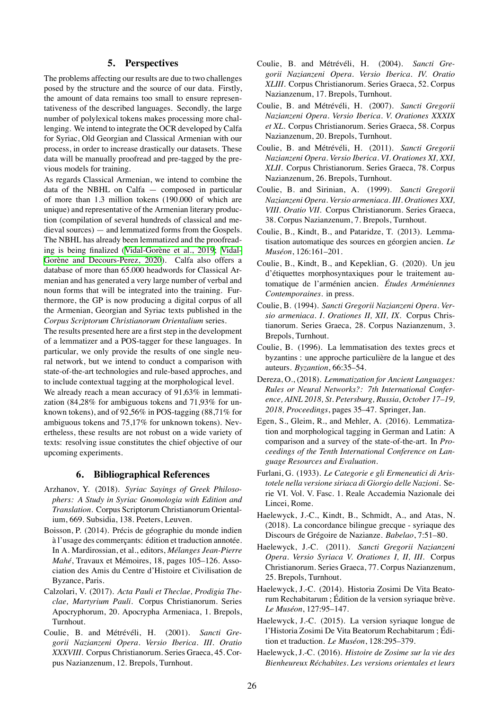## **5. Perspectives**

The problems affecting our results are due to two challenges posed by the structure and the source of our data. Firstly, the amount of data remains too small to ensure representativeness of the described languages. Secondly, the large number of polylexical tokens makes processing more challenging. We intend to integrate the OCR developed by Calfa for Syriac, Old Georgian and Classical Armenian with our process, in order to increase drastically our datasets. These data will be manually proofread and pre-tagged by the previous models for training.

As regards Classical Armenian, we intend to combine the data of the NBHL on Calfa — composed in particular of more than 1.3 million tokens (190.000 of which are unique) and representative of the Armenian literary production (compilation of several hundreds of classical and medieval sources) — and lemmatized forms from the Gospels. The NBHL has already been lemmatized and the proofreading is being finalized([Vidal-Gorène et al., 2019](#page-5-15); [Vidal-](#page-5-3)[Gorène and Decours-Perez, 2020\)](#page-5-3). Calfa also offers a database of more than 65.000 headwords for Classical Armenian and has generated a very large number of verbal and noun forms that will be integrated into the training. Furthermore, the GP is now producing a digital corpus of all the Armenian, Georgian and Syriac texts published in the *Corpus Scriptorum Christianorum Orientalium* series.

The results presented here are a first step in the development of a lemmatizer and a POS-tagger for these languages. In particular, we only provide the results of one single neural network, but we intend to conduct a comparison with state-of-the-art technologies and rule-based approches, and to include contextual tagging at the morphological level.

We already reach a mean accuracy of 91,63% in lemmatization (84,28% for ambiguous tokens and 71,93% for unknown tokens), and of 92,56% in POS-tagging (88,71% for ambiguous tokens and 75,17% for unknown tokens). Nevertheless, these results are not robust on a wide variety of texts: resolving issue constitutes the chief objective of our upcoming experiments.

### **6. Bibliographical References**

- <span id="page-4-13"></span>Arzhanov, Y. (2018). *Syriac Sayings of Greek Philosophers: A Study in Syriac Gnomologia with Edition and Translation*. Corpus Scriptorum Christianorum Orientalium, 669. Subsidia, 138. Peeters, Leuven.
- <span id="page-4-3"></span>Boisson, P. (2014). Précis de géographie du monde indien à l'usage des commerçants: édition et traduction annotée. In A. Mardirossian, et al., editors, *Mélanges Jean-Pierre Mahé*, Travaux et Mémoires, 18, pages 105–126. Association des Amis du Centre d'Histoire et Civilisation de Byzance, Paris.
- <span id="page-4-4"></span>Calzolari, V. (2017). *Acta Pauli et Theclae, Prodigia Theclae, Martyrium Pauli*. Corpus Christianorum. Series Apocryphorum, 20. Apocrypha Armeniaca, 1. Brepols, Turnhout.
- <span id="page-4-5"></span>Coulie, B. and Métrévéli, H. (2001). *Sancti Gregorii Nazianzeni Opera. Versio Iberica. III. Oratio XXXVIII*. Corpus Christianorum. Series Graeca, 45. Corpus Nazianzenum, 12. Brepols, Turnhout.
- <span id="page-4-6"></span>Coulie, B. and Métrévéli, H. (2004). *Sancti Gregorii Nazianzeni Opera. Versio Iberica. IV. Oratio XLIII*. Corpus Christianorum. Series Graeca, 52. Corpus Nazianzenum, 17. Brepols, Turnhout.
- <span id="page-4-7"></span>Coulie, B. and Métrévéli, H. (2007). *Sancti Gregorii Nazianzeni Opera. Versio Iberica. V. Orationes XXXIX et XL*. Corpus Christianorum. Series Graeca, 58. Corpus Nazianzenum, 20. Brepols, Turnhout.
- <span id="page-4-8"></span>Coulie, B. and Métrévéli, H. (2011). *Sancti Gregorii Nazianzeni Opera. Versio Iberica. VI. Orationes XI, XXI, XLII*. Corpus Christianorum. Series Graeca, 78. Corpus Nazianzenum, 26. Brepols, Turnhout.
- <span id="page-4-2"></span>Coulie, B. and Sirinian, A. (1999). *Sancti Gregorii Nazianzeni Opera. Versio armeniaca. III. Orationes XXI, VIII. Oratio VII*. Corpus Christianorum. Series Graeca, 38. Corpus Nazianzenum, 7. Brepols, Turnhout.
- <span id="page-4-15"></span>Coulie, B., Kindt, B., and Pataridze, T. (2013). Lemmatisation automatique des sources en géorgien ancien. *Le Muséon*, 126:161–201.
- <span id="page-4-16"></span>Coulie, B., Kindt, B., and Kepeklian, G. (2020). Un jeu d'étiquettes morphosyntaxiques pour le traitement automatique de l'arménien ancien. *Études Arméniennes Contemporaines*. in press.
- <span id="page-4-1"></span>Coulie, B. (1994). *Sancti Gregorii Nazianzeni Opera. Versio armeniaca. I. Orationes II, XII, IX*. Corpus Christianorum. Series Graeca, 28. Corpus Nazianzenum, 3. Brepols, Turnhout.
- <span id="page-4-14"></span>Coulie, B. (1996). La lemmatisation des textes grecs et byzantins : une approche particulière de la langue et des auteurs. *Byzantion*, 66:35–54.
- <span id="page-4-0"></span>Dereza, O., (2018). *Lemmatization for Ancient Languages: Rules or Neural Networks?: 7th International Conference, AINL 2018, St. Petersburg, Russia, October 17–19, 2018, Proceedings*, pages 35–47. Springer, Jan.
- <span id="page-4-18"></span>Egen, S., Gleim, R., and Mehler, A. (2016). Lemmatization and morphological tagging in German and Latin: A comparison and a survey of the state-of-the-art. In *Proceedings of the Tenth International Conference on Language Resources and Evaluation*.
- Furlani, G. (1933). *Le Categorie e gli Ermeneutici di Aristotele nella versione siriaca di Giorgio delle Nazioni*. Serie VI. Vol. V. Fasc. 1. Reale Accademia Nazionale dei Lincei, Rome.
- <span id="page-4-17"></span>Haelewyck, J.-C., Kindt, B., Schmidt, A., and Atas, N. (2018). La concordance bilingue grecque - syriaque des Discours de Grégoire de Nazianze. *Babelao*, 7:51–80.
- <span id="page-4-9"></span>Haelewyck, J.-C. (2011). *Sancti Gregorii Nazianzeni Opera. Versio Syriaca V. Orationes I, II, III*. Corpus Christianorum. Series Graeca, 77. Corpus Nazianzenum, 25. Brepols, Turnhout.
- <span id="page-4-10"></span>Haelewyck, J.-C. (2014). Historia Zosimi De Vita Beatorum Rechabitarum ; Édition de la version syriaque brève. *Le Muséon*, 127:95–147.
- <span id="page-4-11"></span>Haelewyck, J.-C. (2015). La version syriaque longue de l'Historia Zosimi De Vita Beatorum Rechabitarum ; Édition et traduction. *Le Muséon*, 128:295–379.
- <span id="page-4-12"></span>Haelewyck, J.-C. (2016). *Histoire de Zosime sur la vie des Bienheureux Réchabites. Les versions orientales et leurs*